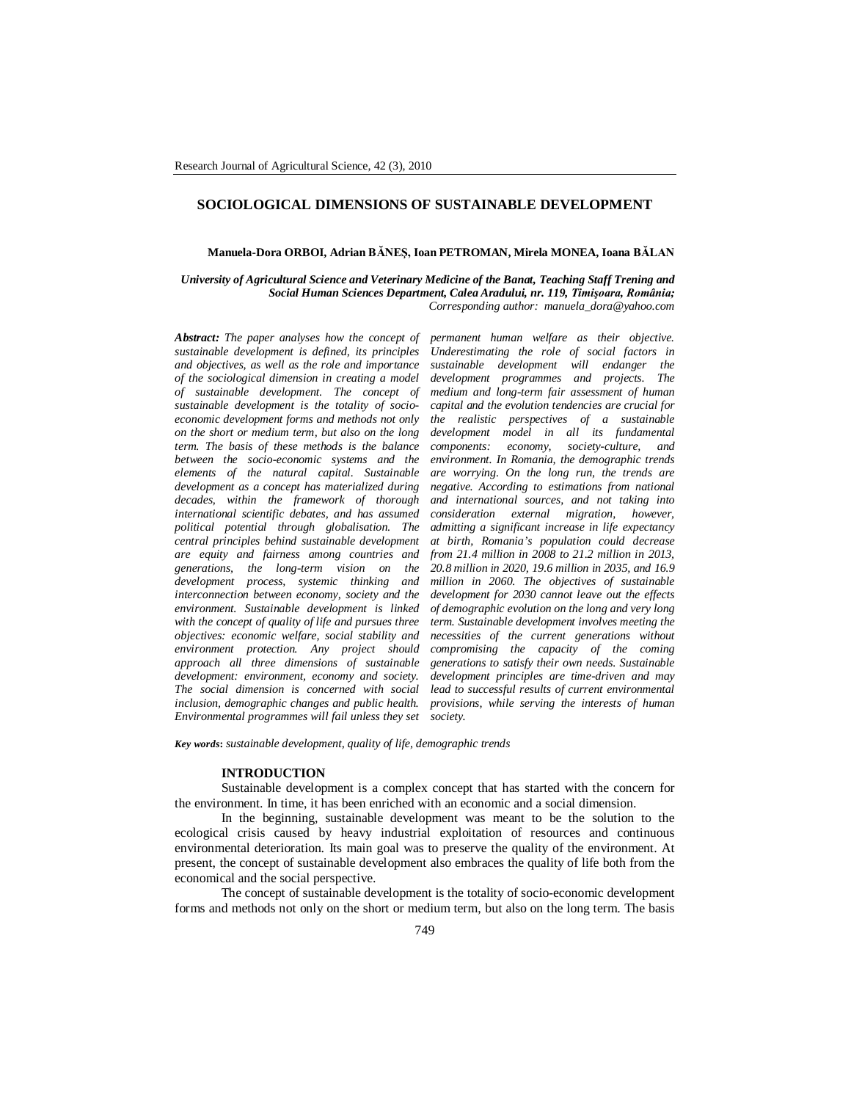# **SOCIOLOGICAL DIMENSIONS OF SUSTAINABLE DEVELOPMENT**

## **Manuela-Dora ORBOI, Adrian BĂNEŞ, Ioan PETROMAN, Mirela MONEA, Ioana BĂLAN**

*University of Agricultural Science and Veterinary Medicine of the Banat, Teaching Staff Trening and Social Human Sciences Department, Calea Aradului, nr. 119, Timişoara, România; Corresponding author: manuela\_dora@yahoo.com*

*Abstract: The paper analyses how the concept of sustainable development is defined, its principles and objectives, as well as the role and importance of the sociological dimension in creating a model of sustainable development. The concept of sustainable development is the totality of socioeconomic development forms and methods not only on the short or medium term, but also on the long term. The basis of these methods is the balance between the socio-economic systems and the elements of the natural capital. Sustainable development as a concept has materialized during decades, within the framework of thorough international scientific debates, and has assumed political potential through globalisation. The central principles behind sustainable development are equity and fairness among countries and generations, the long-term vision on the development process, systemic thinking and interconnection between economy, society and the environment. Sustainable development is linked with the concept of quality of life and pursues three objectives: economic welfare, social stability and environment protection. Any project should approach all three dimensions of sustainable development: environment, economy and society. The social dimension is concerned with social inclusion, demographic changes and public health. Environmental programmes will fail unless they set* 

*permanent human welfare as their objective. Underestimating the role of social factors in sustainable development will endanger the development programmes and projects. The medium and long-term fair assessment of human capital and the evolution tendencies are crucial for the realistic perspectives of a sustainable development model in all its fundamental components: economy, society-culture, and environment. In Romania, the demographic trends are worrying. On the long run, the trends are negative. According to estimations from national and international sources, and not taking into consideration external migration, however, admitting a significant increase in life expectancy at birth, Romania's population could decrease from 21.4 million in 2008 to 21.2 million in 2013, 20.8 million in 2020, 19.6 million in 2035, and 16.9 million in 2060. The objectives of sustainable development for 2030 cannot leave out the effects of demographic evolution on the long and very long term. Sustainable development involves meeting the necessities of the current generations without compromising the capacity of the coming generations to satisfy their own needs. Sustainable development principles are time-driven and may lead to successful results of current environmental provisions, while serving the interests of human society.*

*Key words***:** *sustainable development, quality of life, demographic trends*

# **INTRODUCTION**

Sustainable development is a complex concept that has started with the concern for the environment. In time, it has been enriched with an economic and a social dimension.

In the beginning, sustainable development was meant to be the solution to the ecological crisis caused by heavy industrial exploitation of resources and continuous environmental deterioration. Its main goal was to preserve the quality of the environment. At present, the concept of sustainable development also embraces the quality of life both from the economical and the social perspective.

The concept of sustainable development is the totality of socio-economic development forms and methods not only on the short or medium term, but also on the long term. The basis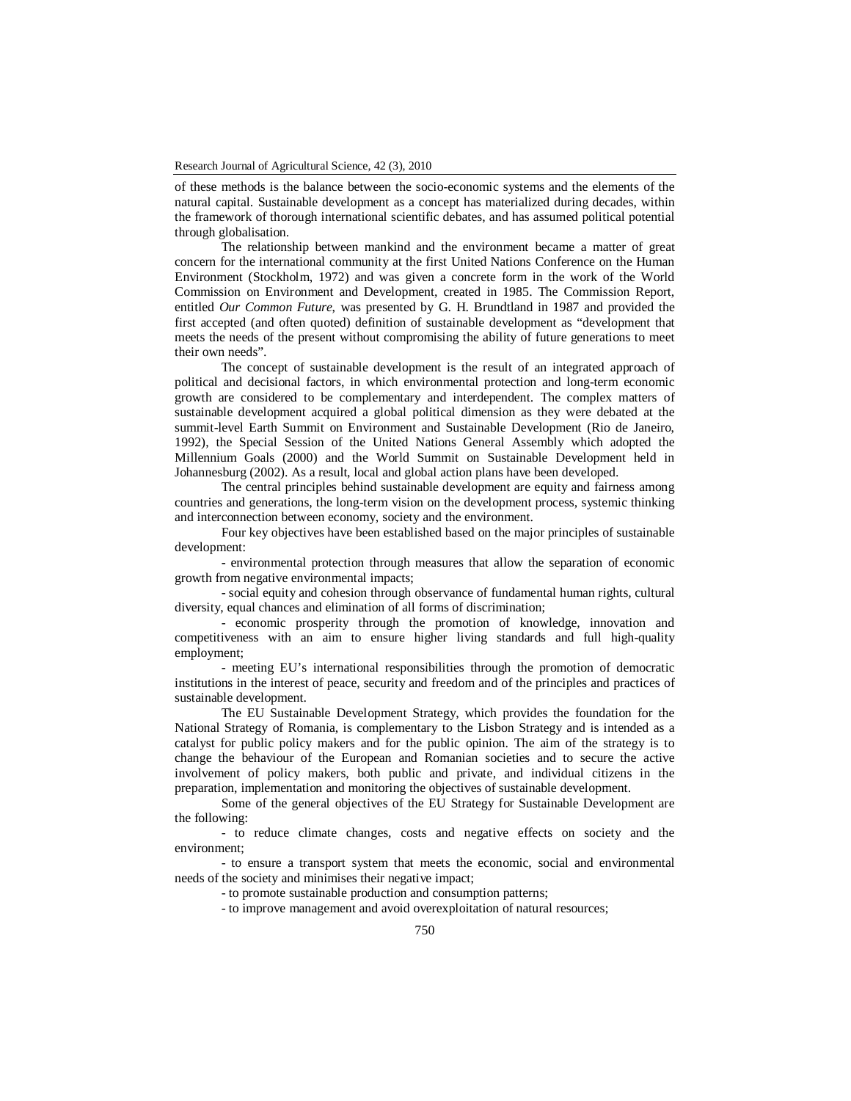of these methods is the balance between the socio-economic systems and the elements of the natural capital. Sustainable development as a concept has materialized during decades, within the framework of thorough international scientific debates, and has assumed political potential through globalisation.

The relationship between mankind and the environment became a matter of great concern for the international community at the first United Nations Conference on the Human Environment (Stockholm, 1972) and was given a concrete form in the work of the World Commission on Environment and Development, created in 1985. The Commission Report, entitled *Our Common Future*, was presented by G. H. Brundtland in 1987 and provided the first accepted (and often quoted) definition of sustainable development as "development that meets the needs of the present without compromising the ability of future generations to meet their own needs".

The concept of sustainable development is the result of an integrated approach of political and decisional factors, in which environmental protection and long-term economic growth are considered to be complementary and interdependent. The complex matters of sustainable development acquired a global political dimension as they were debated at the summit-level Earth Summit on Environment and Sustainable Development (Rio de Janeiro, 1992), the Special Session of the United Nations General Assembly which adopted the Millennium Goals (2000) and the World Summit on Sustainable Development held in Johannesburg (2002). As a result, local and global action plans have been developed.

The central principles behind sustainable development are equity and fairness among countries and generations, the long-term vision on the development process, systemic thinking and interconnection between economy, society and the environment.

Four key objectives have been established based on the major principles of sustainable development:

- environmental protection through measures that allow the separation of economic growth from negative environmental impacts;

- social equity and cohesion through observance of fundamental human rights, cultural diversity, equal chances and elimination of all forms of discrimination;

- economic prosperity through the promotion of knowledge, innovation and competitiveness with an aim to ensure higher living standards and full high-quality employment;

- meeting EU's international responsibilities through the promotion of democratic institutions in the interest of peace, security and freedom and of the principles and practices of sustainable development.

The EU Sustainable Development Strategy, which provides the foundation for the National Strategy of Romania, is complementary to the Lisbon Strategy and is intended as a catalyst for public policy makers and for the public opinion. The aim of the strategy is to change the behaviour of the European and Romanian societies and to secure the active involvement of policy makers, both public and private, and individual citizens in the preparation, implementation and monitoring the objectives of sustainable development.

Some of the general objectives of the EU Strategy for Sustainable Development are the following:

- to reduce climate changes, costs and negative effects on society and the environment;

- to ensure a transport system that meets the economic, social and environmental needs of the society and minimises their negative impact;

- to promote sustainable production and consumption patterns;

- to improve management and avoid overexploitation of natural resources;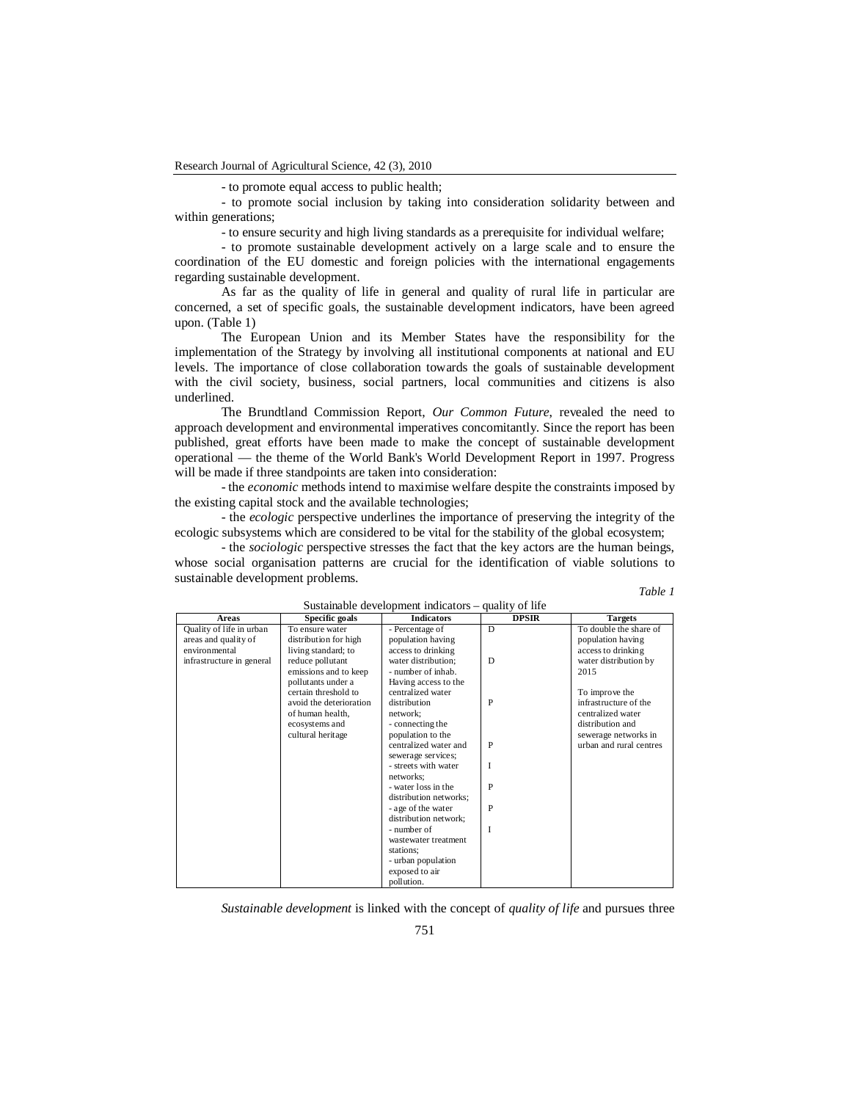- to promote equal access to public health;

- to promote social inclusion by taking into consideration solidarity between and within generations;

- to ensure security and high living standards as a prerequisite for individual welfare;

- to promote sustainable development actively on a large scale and to ensure the coordination of the EU domestic and foreign policies with the international engagements regarding sustainable development.

As far as the quality of life in general and quality of rural life in particular are concerned, a set of specific goals, the sustainable development indicators, have been agreed upon. (Table 1)

The European Union and its Member States have the responsibility for the implementation of the Strategy by involving all institutional components at national and EU levels. The importance of close collaboration towards the goals of sustainable development with the civil society, business, social partners, local communities and citizens is also underlined.

The Brundtland Commission Report, *Our Common Future*, revealed the need to approach development and environmental imperatives concomitantly. Since the report has been published, great efforts have been made to make the concept of sustainable development operational — the theme of the World Bank's World Development Report in 1997. Progress will be made if three standpoints are taken into consideration:

- the *economic* methods intend to maximise welfare despite the constraints imposed by the existing capital stock and the available technologies;

- the *ecologic* perspective underlines the importance of preserving the integrity of the ecologic subsystems which are considered to be vital for the stability of the global ecosystem;

- the *sociologic* perspective stresses the fact that the key actors are the human beings, whose social organisation patterns are crucial for the identification of viable solutions to sustainable development problems.

| an |  |
|----|--|
|    |  |

| Sustainable development indicators – quality of life              |                                                                                       |                                                                   |              |                                                                                  |  |  |  |  |
|-------------------------------------------------------------------|---------------------------------------------------------------------------------------|-------------------------------------------------------------------|--------------|----------------------------------------------------------------------------------|--|--|--|--|
| Areas                                                             | Specific goals                                                                        | <b>Indicators</b>                                                 | <b>DPSIR</b> | <b>Targets</b>                                                                   |  |  |  |  |
| Quality of life in urban<br>areas and quality of<br>environmental | To ensure water<br>distribution for high<br>living standard; to                       | - Percentage of<br>population having<br>access to drinking        | D            | To double the share of<br>population having<br>access to drinking                |  |  |  |  |
| infrastructure in general                                         | reduce pollutant<br>emissions and to keep<br>pollutants under a                       | water distribution;<br>- number of inhab.<br>Having access to the | D            | water distribution by<br>2015                                                    |  |  |  |  |
|                                                                   | certain threshold to<br>avoid the deterioration<br>of human health.<br>ecosystems and | centralized water<br>distribution<br>network:<br>- connecting the | P            | To improve the<br>infrastructure of the<br>centralized water<br>distribution and |  |  |  |  |
|                                                                   | cultural heritage                                                                     | population to the<br>centralized water and<br>sewerage services;  | P            | sewerage networks in<br>urban and rural centres                                  |  |  |  |  |
|                                                                   |                                                                                       | - streets with water<br>networks:                                 | I            |                                                                                  |  |  |  |  |
|                                                                   |                                                                                       | - water loss in the<br>distribution networks;                     | P            |                                                                                  |  |  |  |  |
|                                                                   |                                                                                       | - age of the water<br>distribution network:                       | P            |                                                                                  |  |  |  |  |
|                                                                   |                                                                                       | - number of<br>wastewater treatment                               | I            |                                                                                  |  |  |  |  |
|                                                                   |                                                                                       | stations:<br>- urban population<br>exposed to air                 |              |                                                                                  |  |  |  |  |
|                                                                   |                                                                                       | pollution.                                                        |              |                                                                                  |  |  |  |  |

*Sustainable development* is linked with the concept of *quality of life* and pursues three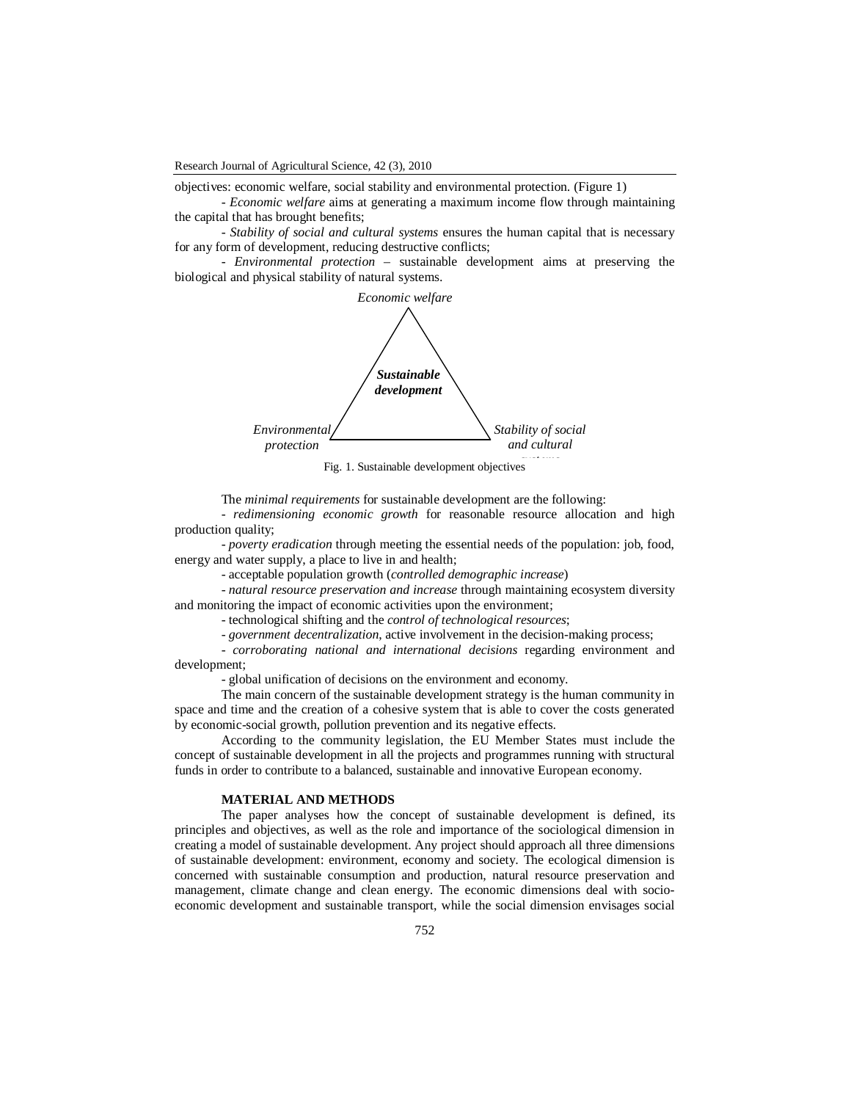objectives: economic welfare, social stability and environmental protection. (Figure 1)

*- Economic welfare* aims at generating a maximum income flow through maintaining the capital that has brought benefits;

*- Stability of social and cultural systems* ensures the human capital that is necessary for any form of development, reducing destructive conflicts;

- *Environmental protection* – sustainable development aims at preserving the biological and physical stability of natural systems.



The *minimal requirements* for sustainable development are the following:

- *redimensioning economic growth* for reasonable resource allocation and high production quality;

- *poverty eradication* through meeting the essential needs of the population: job, food, energy and water supply, a place to live in and health;

- acceptable population growth (*controlled demographic increase*)

- *natural resource preservation and increase* through maintaining ecosystem diversity and monitoring the impact of economic activities upon the environment;

- technological shifting and the *control of technological resources*;

- *government decentralization*, active involvement in the decision-making process;

- *corroborating national and international decisions* regarding environment and development;

- global unification of decisions on the environment and economy.

The main concern of the sustainable development strategy is the human community in space and time and the creation of a cohesive system that is able to cover the costs generated by economic-social growth, pollution prevention and its negative effects.

According to the community legislation, the EU Member States must include the concept of sustainable development in all the projects and programmes running with structural funds in order to contribute to a balanced, sustainable and innovative European economy.

# **MATERIAL AND METHODS**

The paper analyses how the concept of sustainable development is defined, its principles and objectives, as well as the role and importance of the sociological dimension in creating a model of sustainable development. Any project should approach all three dimensions of sustainable development: environment, economy and society. The ecological dimension is concerned with sustainable consumption and production, natural resource preservation and management, climate change and clean energy. The economic dimensions deal with socioeconomic development and sustainable transport, while the social dimension envisages social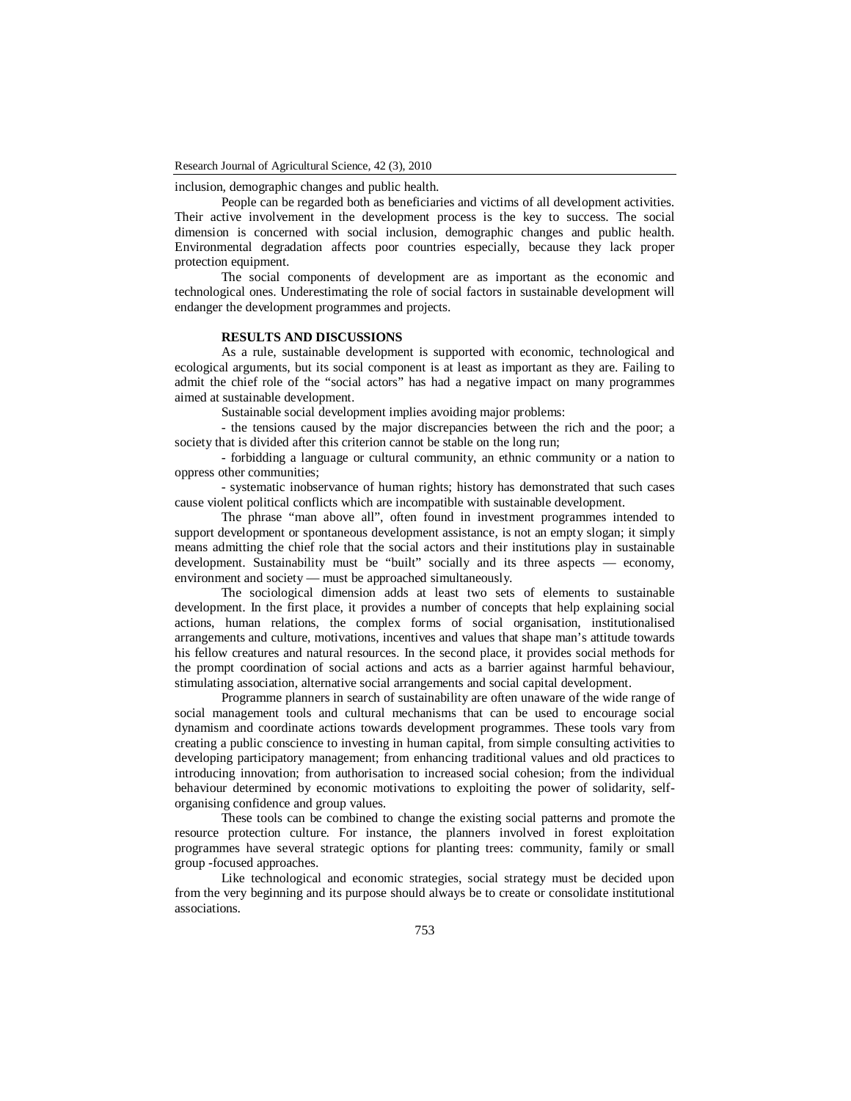inclusion, demographic changes and public health.

People can be regarded both as beneficiaries and victims of all development activities. Their active involvement in the development process is the key to success. The social dimension is concerned with social inclusion, demographic changes and public health. Environmental degradation affects poor countries especially, because they lack proper protection equipment.

The social components of development are as important as the economic and technological ones. Underestimating the role of social factors in sustainable development will endanger the development programmes and projects.

## **RESULTS AND DISCUSSIONS**

As a rule, sustainable development is supported with economic, technological and ecological arguments, but its social component is at least as important as they are. Failing to admit the chief role of the "social actors" has had a negative impact on many programmes aimed at sustainable development.

Sustainable social development implies avoiding major problems:

- the tensions caused by the major discrepancies between the rich and the poor; a society that is divided after this criterion cannot be stable on the long run;

- forbidding a language or cultural community, an ethnic community or a nation to oppress other communities;

- systematic inobservance of human rights; history has demonstrated that such cases cause violent political conflicts which are incompatible with sustainable development.

The phrase "man above all", often found in investment programmes intended to support development or spontaneous development assistance, is not an empty slogan; it simply means admitting the chief role that the social actors and their institutions play in sustainable development. Sustainability must be "built" socially and its three aspects — economy, environment and society — must be approached simultaneously.

The sociological dimension adds at least two sets of elements to sustainable development. In the first place, it provides a number of concepts that help explaining social actions, human relations, the complex forms of social organisation, institutionalised arrangements and culture, motivations, incentives and values that shape man's attitude towards his fellow creatures and natural resources. In the second place, it provides social methods for the prompt coordination of social actions and acts as a barrier against harmful behaviour, stimulating association, alternative social arrangements and social capital development.

Programme planners in search of sustainability are often unaware of the wide range of social management tools and cultural mechanisms that can be used to encourage social dynamism and coordinate actions towards development programmes. These tools vary from creating a public conscience to investing in human capital, from simple consulting activities to developing participatory management; from enhancing traditional values and old practices to introducing innovation; from authorisation to increased social cohesion; from the individual behaviour determined by economic motivations to exploiting the power of solidarity, selforganising confidence and group values.

These tools can be combined to change the existing social patterns and promote the resource protection culture. For instance, the planners involved in forest exploitation programmes have several strategic options for planting trees: community, family or small group -focused approaches.

Like technological and economic strategies, social strategy must be decided upon from the very beginning and its purpose should always be to create or consolidate institutional associations.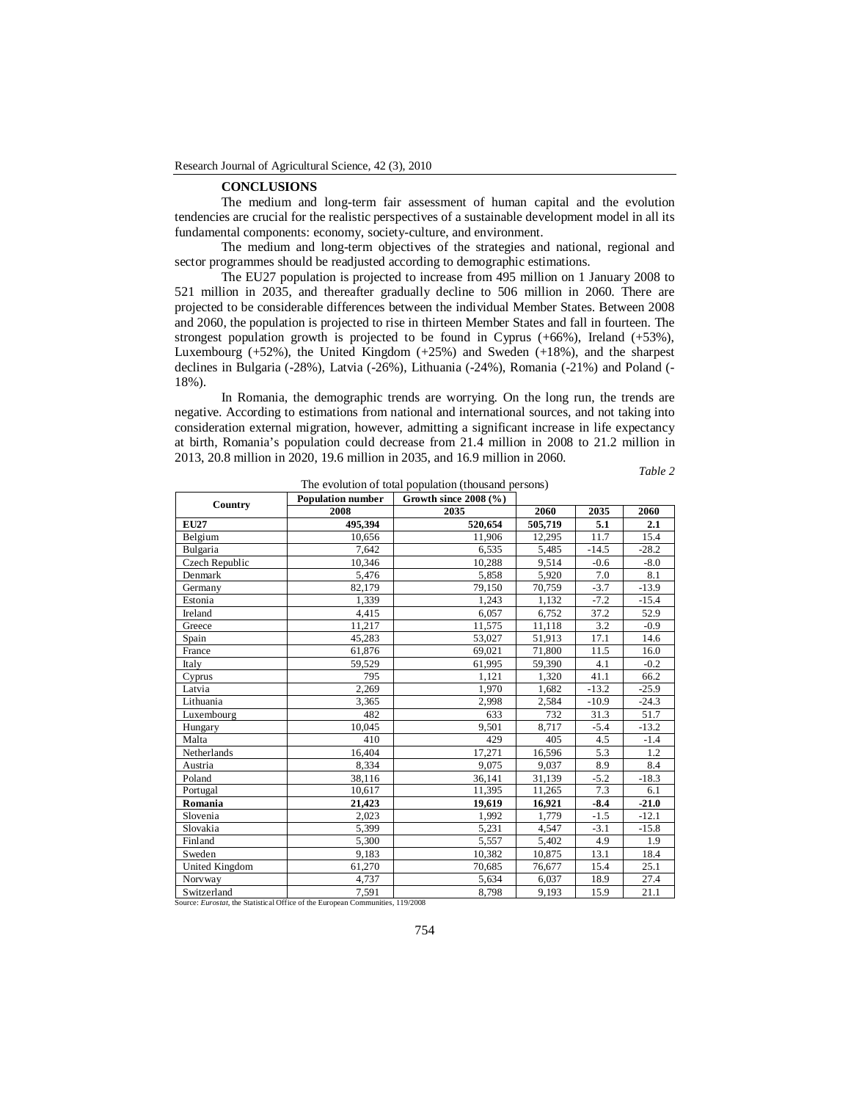#### **CONCLUSIONS**

The medium and long-term fair assessment of human capital and the evolution tendencies are crucial for the realistic perspectives of a sustainable development model in all its fundamental components: economy, society-culture, and environment.

The medium and long-term objectives of the strategies and national, regional and sector programmes should be readjusted according to demographic estimations.

The EU27 population is projected to increase from 495 million on 1 January 2008 to 521 million in 2035, and thereafter gradually decline to 506 million in 2060. There are projected to be considerable differences between the individual Member States. Between 2008 and 2060, the population is projected to rise in thirteen Member States and fall in fourteen. The strongest population growth is projected to be found in Cyprus  $(+66%)$ , Ireland  $(+53%)$ , Luxembourg (+52%), the United Kingdom (+25%) and Sweden (+18%), and the sharpest declines in Bulgaria (-28%), Latvia (-26%), Lithuania (-24%), Romania (-21%) and Poland (- 18%).

In Romania, the demographic trends are worrying. On the long run, the trends are negative. According to estimations from national and international sources, and not taking into consideration external migration, however, admitting a significant increase in life expectancy at birth, Romania's population could decrease from 21.4 million in 2008 to 21.2 million in 2013, 20.8 million in 2020, 19.6 million in 2035, and 16.9 million in 2060.

*Table 2*

| Country                                                                        | <b>Population number</b> | Growth since $2008$ (%) |         |         |         |  |  |
|--------------------------------------------------------------------------------|--------------------------|-------------------------|---------|---------|---------|--|--|
|                                                                                | 2008                     | 2035                    | 2060    | 2035    | 2060    |  |  |
| <b>EU27</b>                                                                    | 495,394                  | 520,654                 | 505,719 | 5.1     | 2.1     |  |  |
| Belgium                                                                        | 10,656                   | 11,906                  | 12,295  | 11.7    | 15.4    |  |  |
| Bulgaria                                                                       | 7.642                    | 6,535                   | 5,485   | $-14.5$ | $-28.2$ |  |  |
| Czech Republic                                                                 | 10,346                   | 10,288                  | 9,514   | $-0.6$  | $-8.0$  |  |  |
| Denmark                                                                        | 5,476                    | 5,858                   | 5,920   | 7.0     | 8.1     |  |  |
| Germany                                                                        | 82,179                   | 79,150                  | 70,759  | $-3.7$  | $-13.9$ |  |  |
| Estonia                                                                        | 1,339                    | 1,243                   | 1,132   | $-7.2$  | $-15.4$ |  |  |
| Ireland                                                                        | 4,415                    | 6,057                   | 6,752   | 37.2    | 52.9    |  |  |
| Greece                                                                         | 11,217                   | 11,575                  | 11,118  | 3.2     | $-0.9$  |  |  |
| Spain                                                                          | 45,283                   | 53,027                  | 51,913  | 17.1    | 14.6    |  |  |
| France                                                                         | 61,876                   | 69,021                  | 71,800  | 11.5    | 16.0    |  |  |
| Italy                                                                          | 59,529                   | 61,995                  | 59,390  | 4.1     | $-0.2$  |  |  |
| Cyprus                                                                         | 795                      | 1,121                   | 1,320   | 41.1    | 66.2    |  |  |
| Latvia                                                                         | 2,269                    | 1,970                   | 1,682   | $-13.2$ | $-25.9$ |  |  |
| Lithuania                                                                      | 3,365                    | 2,998                   | 2,584   | $-10.9$ | $-24.3$ |  |  |
| Luxembourg                                                                     | 482                      | 633                     | 732     | 31.3    | 51.7    |  |  |
| Hungary                                                                        | 10,045                   | 9.501                   | 8.717   | $-5.4$  | $-13.2$ |  |  |
| Malta                                                                          | 410                      | 429                     | 405     | 4.5     | $-1.4$  |  |  |
| Netherlands                                                                    | 16,404                   | 17,271                  | 16,596  | 5.3     | 1.2     |  |  |
| Austria                                                                        | 8,334                    | 9.075                   | 9,037   | 8.9     | 8.4     |  |  |
| Poland                                                                         | 38,116                   | 36,141                  | 31,139  | $-5.2$  | $-18.3$ |  |  |
| Portugal                                                                       | 10,617                   | 11,395                  | 11,265  | 7.3     | 6.1     |  |  |
| Romania                                                                        | 21,423                   | 19,619                  | 16,921  | $-8.4$  | $-21.0$ |  |  |
| Slovenia                                                                       | 2.023                    | 1,992                   | 1.779   | $-1.5$  | $-12.1$ |  |  |
| Slovakia                                                                       | 5,399                    | 5,231                   | 4,547   | $-3.1$  | $-15.8$ |  |  |
| Finland                                                                        | 5,300                    | 5,557                   | 5,402   | 4.9     | 1.9     |  |  |
| Sweden                                                                         | 9,183                    | 10,382                  | 10,875  | 13.1    | 18.4    |  |  |
| United Kingdom                                                                 | 61,270                   | 70,685                  | 76,677  | 15.4    | 25.1    |  |  |
| Norvway                                                                        | 4.737                    | 5,634                   | 6,037   | 18.9    | 27.4    |  |  |
| Switzerland                                                                    | 7.591                    | 8,798                   | 9,193   | 15.9    | 21.1    |  |  |
| Source: Eurostat, the Statistical Office of the European Communities, 119/2008 |                          |                         |         |         |         |  |  |

The evolution of total population (thousand persons)